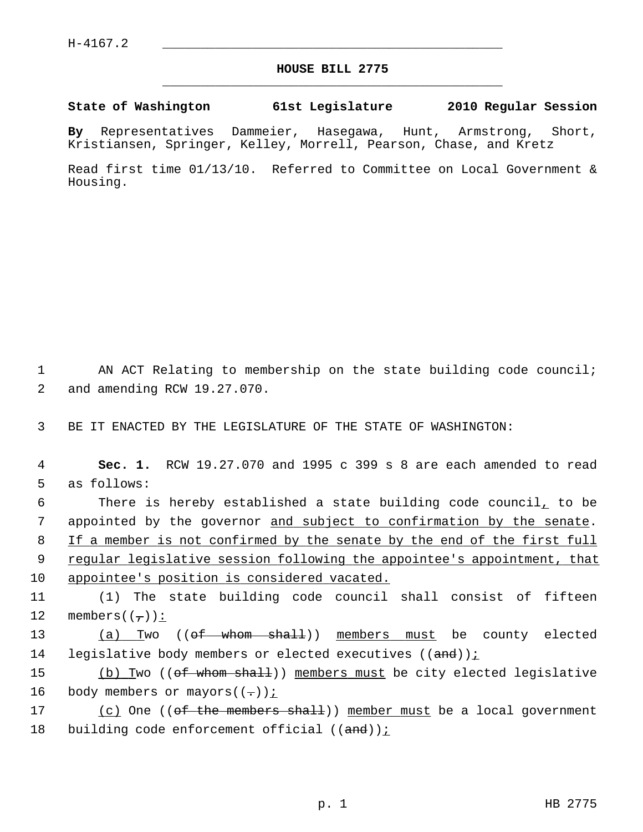## **HOUSE BILL 2775** \_\_\_\_\_\_\_\_\_\_\_\_\_\_\_\_\_\_\_\_\_\_\_\_\_\_\_\_\_\_\_\_\_\_\_\_\_\_\_\_\_\_\_\_\_

## **State of Washington 61st Legislature 2010 Regular Session**

**By** Representatives Dammeier, Hasegawa, Hunt, Armstrong, Short, Kristiansen, Springer, Kelley, Morrell, Pearson, Chase, and Kretz

Read first time 01/13/10. Referred to Committee on Local Government & Housing.

1 AN ACT Relating to membership on the state building code council; 2 and amending RCW 19.27.070.

3 BE IT ENACTED BY THE LEGISLATURE OF THE STATE OF WASHINGTON:

 4 **Sec. 1.** RCW 19.27.070 and 1995 c 399 s 8 are each amended to read 5 as follows:

 6 There is hereby established a state building code council, to be 7 appointed by the governor and subject to confirmation by the senate. 8 If a member is not confirmed by the senate by the end of the first full

 9 regular legislative session following the appointee's appointment, that 10 appointee's position is considered vacated.

11 (1) The state building code council shall consist of fifteen 12 members( $(\tau)$ ):

13 (a) Two ((of whom shall)) members must be county elected 14 legislative body members or elected executives  $((and))$ ;

15 (b) Two (( $\theta$ f whom shall)) members must be city elected legislative 16 body members or mayors( $(-)$ );

17 (c) One ((of the members shall)) member must be a local government 18 building code enforcement official  $((and))$  :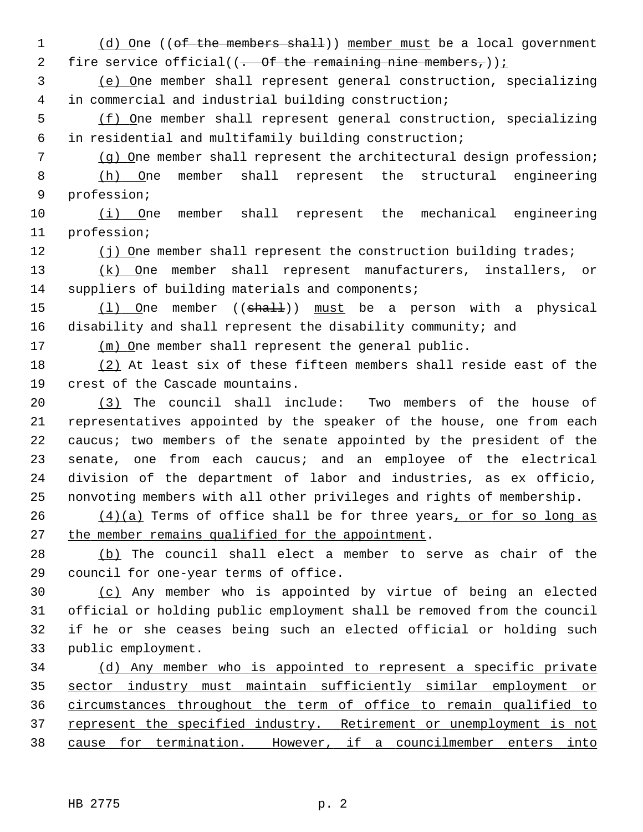1 (d) One ((of the members shall)) member must be a local government 2 fire service official( $(-$  Of the remaining nine members,));

 3 (e) One member shall represent general construction, specializing 4 in commercial and industrial building construction;

 5 (f) One member shall represent general construction, specializing 6 in residential and multifamily building construction;

 7 (g) One member shall represent the architectural design profession; 8 (h) One member shall represent the structural engineering 9 profession;

10 (i) One member shall represent the mechanical engineering 11 profession;

12 (j) One member shall represent the construction building trades;

13 (k) One member shall represent manufacturers, installers, or 14 suppliers of building materials and components;

15 (1) One member ((shall)) must be a person with a physical 16 disability and shall represent the disability community; and

17 (m) One member shall represent the general public.

18 (2) At least six of these fifteen members shall reside east of the 19 crest of the Cascade mountains.

20 (3) The council shall include: Two members of the house of 21 representatives appointed by the speaker of the house, one from each 22 caucus; two members of the senate appointed by the president of the 23 senate, one from each caucus; and an employee of the electrical 24 division of the department of labor and industries, as ex officio, 25 nonvoting members with all other privileges and rights of membership.

 $(4)(a)$  Terms of office shall be for three years, or for so long as 27 the member remains qualified for the appointment.

28 (b) The council shall elect a member to serve as chair of the 29 council for one-year terms of office.

30 (c) Any member who is appointed by virtue of being an elected 31 official or holding public employment shall be removed from the council 32 if he or she ceases being such an elected official or holding such 33 public employment.

 (d) Any member who is appointed to represent a specific private sector industry must maintain sufficiently similar employment or circumstances throughout the term of office to remain qualified to 37 represent the specified industry. Retirement or unemployment is not cause for termination. However, if a councilmember enters into